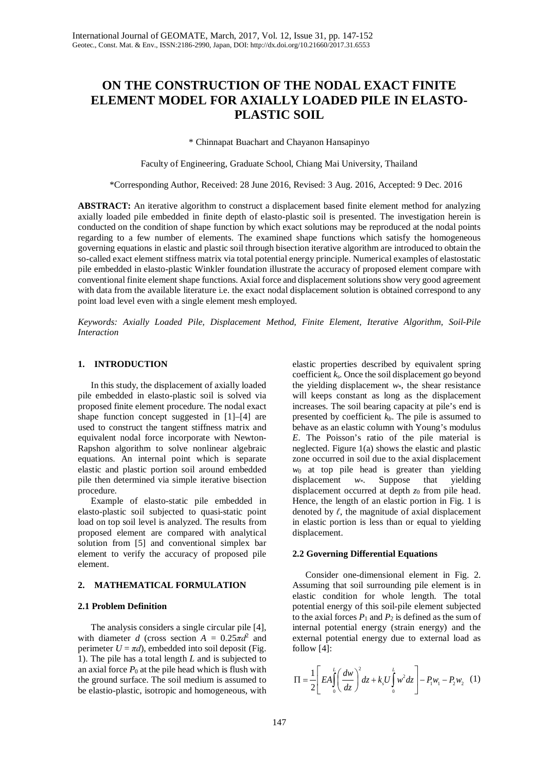# **ON THE CONSTRUCTION OF THE NODAL EXACT FINITE ELEMENT MODEL FOR AXIALLY LOADED PILE IN ELASTO-PLASTIC SOIL**

\* Chinnapat Buachart and Chayanon Hansapinyo

Faculty of Engineering, Graduate School, Chiang Mai University, Thailand

\*Corresponding Author, Received: 28 June 2016, Revised: 3 Aug. 2016, Accepted: 9 Dec. 2016

**ABSTRACT:** An iterative algorithm to construct a displacement based finite element method for analyzing axially loaded pile embedded in finite depth of elasto-plastic soil is presented. The investigation herein is conducted on the condition of shape function by which exact solutions may be reproduced at the nodal points regarding to a few number of elements. The examined shape functions which satisfy the homogeneous governing equations in elastic and plastic soil through bisection iterative algorithm are introduced to obtain the so-called exact element stiffness matrix via total potential energy principle. Numerical examples of elastostatic pile embedded in elasto-plastic Winkler foundation illustrate the accuracy of proposed element compare with conventional finite element shape functions. Axial force and displacement solutions show very good agreement with data from the available literature i.e. the exact nodal displacement solution is obtained correspond to any point load level even with a single element mesh employed.

*Keywords: Axially Loaded Pile, Displacement Method, Finite Element, Iterative Algorithm, Soil-Pile Interaction*

## **1. INTRODUCTION**

In this study, the displacement of axially loaded pile embedded in elasto-plastic soil is solved via proposed finite element procedure. The nodal exact shape function concept suggested in [1]–[4] are used to construct the tangent stiffness matrix and equivalent nodal force incorporate with Newton-Rapshon algorithm to solve nonlinear algebraic equations. An internal point which is separate elastic and plastic portion soil around embedded pile then determined via simple iterative bisection procedure.

Example of elasto-static pile embedded in elasto-plastic soil subjected to quasi-static point load on top soil level is analyzed. The results from proposed element are compared with analytical solution from [5] and conventional simplex bar element to verify the accuracy of proposed pile element.

# **2. MATHEMATICAL FORMULATION**

# **2.1 Problem Definition**

The analysis considers a single circular pile [4], with diameter *d* (cross section  $A = 0.25 \pi d^2$  and perimeter  $U = \pi d$ ), embedded into soil deposit (Fig. 1). The pile has a total length *L* and is subjected to an axial force  $P_0$  at the pile head which is flush with the ground surface. The soil medium is assumed to be elastio-plastic, isotropic and homogeneous, with

elastic properties described by equivalent spring coefficient *k*s. Once the soil displacement go beyond the yielding displacement *w*\*, the shear resistance will keeps constant as long as the displacement increases. The soil bearing capacity at pile's end is presented by coefficient *kb*. The pile is assumed to behave as an elastic column with Young's modulus *E*. The Poisson's ratio of the pile material is neglected. Figure 1(a) shows the elastic and plastic zone occurred in soil due to the axial displacement  $w_0$  at top pile head is greater than yielding displacement  $w^*$ . Suppose that yielding displacement *w*\*. Suppose that yielding displacement occurred at depth  $z_0$  from pile head. Hence, the length of an elastic portion in Fig. 1 is denoted by  $\ell$ , the magnitude of axial displacement in elastic portion is less than or equal to yielding displacement.

#### **2.2 Governing Differential Equations**

Consider one-dimensional element in Fig. 2. Assuming that soil surrounding pile element is in elastic condition for whole length. The total potential energy of this soil-pile element subjected to the axial forces  $P_1$  and  $P_2$  is defined as the sum of internal potential energy (strain energy) and the external potential energy due to external load as follow [4]:

$$
\Pi = \frac{1}{2} \left[ EA \int_0^L \left( \frac{dw}{dz} \right)^2 dz + k_s U \int_0^L w^2 dz \right] - P_1 w_1 - P_2 w_2 \tag{1}
$$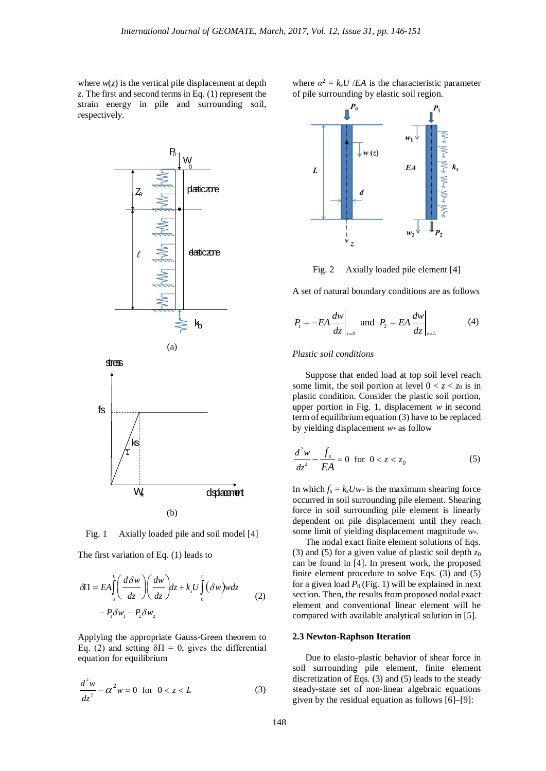where  $w(z)$  is the vertical pile displacement at depth *z*. The first and second terms in Eq. (1) represent the strain energy in pile and surrounding soil, respectively.





Axially loaded pile and soil model [4] Fig.  $1$ 

The first variation of Eq. (1) leads to

$$
\delta \Pi = EA \int_{0}^{L} \left( \frac{d\delta w}{dz} \right) \left( \frac{dw}{dz} \right) dz + k_{s} U \int_{0}^{L} (\delta w) w dz
$$
  
-  $P_{1} \delta w_{1} - P_{2} \delta w_{2}$  (2)

Applying the appropriate Gauss-Green theorem to Eq. (2) and setting  $\delta \Pi = 0$ , gives the differential equation for equilibrium

$$
\frac{d^2w}{dz^2} - \alpha^2 w = 0 \quad \text{for} \quad 0 < z < L \tag{3}
$$

where  $\alpha^2 = k_s U / E A$  is the characteristic parameter of pile surrounding by elastic soil region.



Fig. 2 Axially loaded pile element [4]

A set of natural boundary conditions are as follows

$$
P_1 = -EA \frac{dw}{dz}\bigg|_{z=0} \text{ and } P_2 = EA \frac{dw}{dz}\bigg|_{z=L} \tag{4}
$$

#### *Plastic soil conditions*

Suppose that ended load at top soil level reach some limit, the soil portion at level  $0 < z < z_0$  is in plastic condition. Consider the plastic soil portion, upper portion in Fig. 1, displacement *w* in second term of equilibrium equation (3) have to be replaced by yielding displacement *w*\* as follow

$$
\frac{d^2w}{dz^2} - \frac{f_s}{EA} = 0 \text{ for } 0 < z < z_0
$$
 (5)

In which  $f_s = k_s Uw^*$  is the maximum shearing force occurred in soil surrounding pile element. Shearing force in soil surrounding pile element is linearly dependent on pile displacement until they reach some limit of yielding displacement magnitude *w*\*.

The nodal exact finite element solutions of Eqs. (3) and (5) for a given value of plastic soil depth *z*<sup>0</sup> can be found in [4]. In present work, the proposed finite element procedure to solve Eqs. (3) and (5) for a given load  $P_0$  (Fig. 1) will be explained in next section. Then, the results from proposed nodal exact element and conventional linear element will be compared with available analytical solution in [5].

## **2.3 Newton-Raphson Iteration**

Due to elasto-plastic behavior of shear force in soil surrounding pile element, finite element discretization of Eqs. (3) and (5) leads to the steady steady-state set of non-linear algebraic equations given by the residual equation as follows [6]–[9]: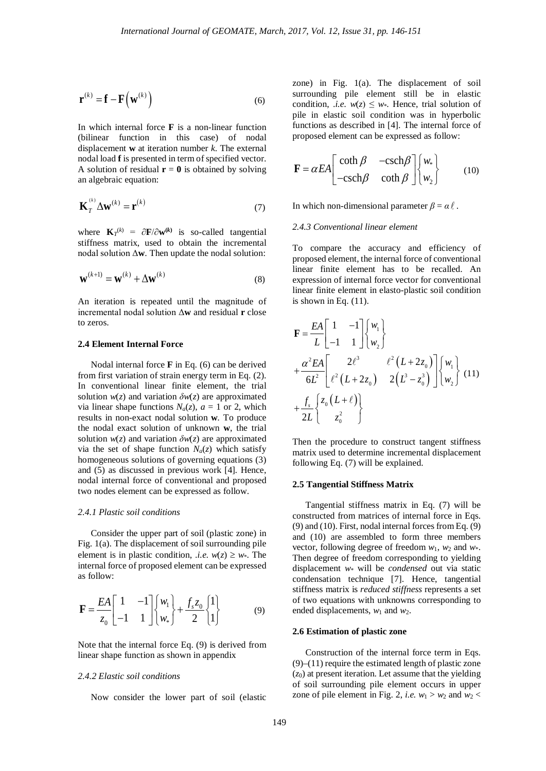$$
\mathbf{r}^{(k)} = \mathbf{f} - \mathbf{F}(\mathbf{w}^{(k)})
$$
 (6)

In which internal force **F** is a non-linear function (bilinear function in this case) of nodal displacement **w** at iteration number *k*. The external nodal load **f** is presented in term of specified vector. A solution of residual  $\mathbf{r} = \mathbf{0}$  is obtained by solving an algebraic equation:

$$
\mathbf{K}_T^{(k)} \Delta \mathbf{w}^{(k)} = \mathbf{r}^{(k)} \tag{7}
$$

where  $\mathbf{K}_T^{(k)} = \partial \mathbf{F} / \partial \mathbf{w}^{(k)}$  is so-called tangential stiffness matrix, used to obtain the incremental nodal solution Δ**w**. Then update the nodal solution:

$$
\mathbf{w}^{(k+1)} = \mathbf{w}^{(k)} + \Delta \mathbf{w}^{(k)}
$$
(8)

An iteration is repeated until the magnitude of incremental nodal solution Δ**w** and residual **r** close to zeros.

## **2.4 Element Internal Force**

Nodal internal force **F** in Eq. (6) can be derived from first variation of strain energy term in Eq. (2). In conventional linear finite element, the trial solution  $w(z)$  and variation  $\delta w(z)$  are approximated via linear shape functions  $N_a(z)$ ,  $a = 1$  or 2, which results in non-exact nodal solution **w***.* To produce the nodal exact solution of unknown **w**, the trial solution  $w(z)$  and variation  $\delta w(z)$  are approximated via the set of shape function  $N_a(z)$  which satisfy homogeneous solutions of governing equations (3) and (5) as discussed in previous work [4]*.* Hence, nodal internal force of conventional and proposed two nodes element can be expressed as follow.

# *2.4.1 Plastic soil conditions*

Consider the upper part of soil (plastic zone) in Fig. 1(a). The displacement of soil surrounding pile element is in plastic condition, *i.e.*  $w(z) \geq w^*$ . The internal force of proposed element can be expressed as follow:

$$
\mathbf{F} = \frac{EA}{z_0} \begin{bmatrix} 1 & -1 \\ -1 & 1 \end{bmatrix} \begin{Bmatrix} w_1 \\ w_* \end{Bmatrix} + \frac{f_s z_0}{2} \begin{Bmatrix} 1 \\ 1 \end{Bmatrix}
$$
(9)

Note that the internal force Eq. (9) is derived from linear shape function as shown in appendix

# *2.4.2 Elastic soil conditions*

Now consider the lower part of soil (elastic

zone) in Fig. 1(a). The displacement of soil surrounding pile element still be in elastic condition, *i.e.*  $w(z) \leq w$ . Hence, trial solution of pile in elastic soil condition was in hyperbolic functions as described in [4]. The internal force of proposed element can be expressed as follow:

$$
\mathbf{F} = \alpha EA \begin{bmatrix} \coth \beta & -\text{csch} \beta \\ -\text{csch} \beta & \text{coth} \beta \end{bmatrix} \begin{bmatrix} w_* \\ w_2 \end{bmatrix}
$$
 (10)

In which non-dimensional parameter  $\beta = \alpha \ell$ .

# *2.4.3 Conventional linear element*

To compare the accuracy and efficiency of proposed element, the internal force of conventional linear finite element has to be recalled. An expression of internal force vector for conventional linear finite element in elasto-plastic soil condition is shown in Eq.  $(11)$ .

$$
\mathbf{F} = \frac{EA}{L} \begin{bmatrix} 1 & -1 \\ -1 & 1 \end{bmatrix} \begin{Bmatrix} w_1 \\ w_2 \end{Bmatrix}
$$
  
+  $\frac{\alpha^2 EA}{6L^2} \begin{bmatrix} 2\ell^3 & \ell^2 (L + 2z_0) \\ \ell^2 (L + 2z_0) & 2(L^3 - z_0^3) \end{bmatrix} \begin{Bmatrix} w_1 \\ w_2 \end{Bmatrix}$  (11)  
+  $\frac{f_s}{2L} \begin{Bmatrix} z_0 (L + \ell) \\ z_0^2 \end{Bmatrix}$ 

Then the procedure to construct tangent stiffness matrix used to determine incremental displacement following Eq. (7) will be explained.

#### **2.5 Tangential Stiffness Matrix**

Tangential stiffness matrix in Eq. (7) will be constructed from matrices of internal force in Eqs. (9) and (10). First, nodal internal forces from Eq. (9) and (10) are assembled to form three members vector, following degree of freedom  $w_1$ ,  $w_2$  and  $w_*$ . Then degree of freedom corresponding to yielding displacement *w*\* will be *condensed* out via static condensation technique [7]. Hence, tangential stiffness matrix is *reduced stiffness* represents a set of two equations with unknowns corresponding to ended displacements,  $w_1$  and  $w_2$ .

## **2.6 Estimation of plastic zone**

Construction of the internal force term in Eqs. (9)–(11) require the estimated length of plastic zone  $(z_0)$  at present iteration. Let assume that the yielding of soil surrounding pile element occurs in upper zone of pile element in Fig. 2, *i.e.*  $w_1 > w_2$  and  $w_2$  <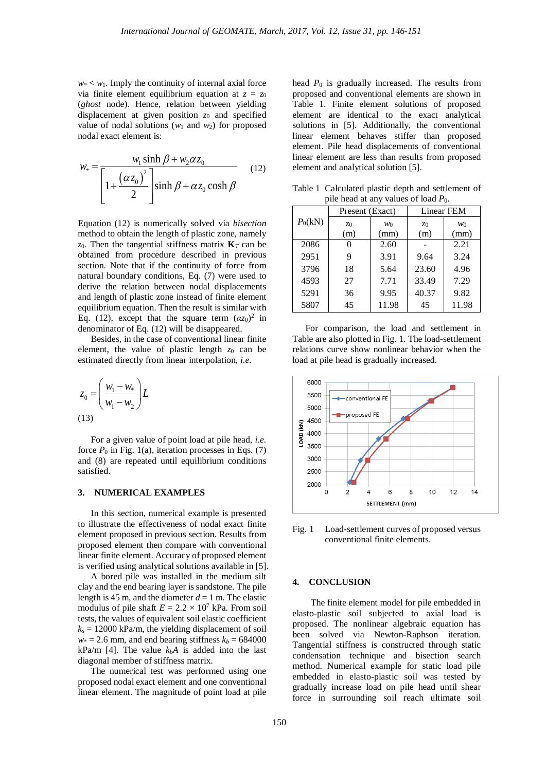$w* < w_1$ . Imply the continuity of internal axial force via finite element equilibrium equation at  $z = z_0$ (*ghost* node). Hence, relation between yielding displacement at given position *z*<sup>0</sup> and specified value of nodal solutions  $(w_1 \text{ and } w_2)$  for proposed nodal exact element is:

$$
w_{*} = \frac{w_{1} \sinh \beta + w_{2} \alpha z_{0}}{\left[1 + \frac{(\alpha z_{0})^{2}}{2}\right] \sinh \beta + \alpha z_{0} \cosh \beta}
$$
 (12)

Equation (12) is numerically solved via *bisection* method to obtain the length of plastic zone, namely *z*0. Then the tangential stiffness matrix **K***<sup>T</sup>* can be obtained from procedure described in previous section. Note that if the continuity of force from natural boundary conditions, Eq. (7) were used to derive the relation between nodal displacements and length of plastic zone instead of finite element equilibrium equation. Then the result is similar with Eq. (12), except that the square term  $(\alpha z_0)^2$  in denominator of Eq. (12) will be disappeared.

Besides, in the case of conventional linear finite element, the value of plastic length  $z_0$  can be estimated directly from linear interpolation, *i.e.*

$$
z_0 = \left(\frac{w_1 - w_*}{w_1 - w_2}\right) L
$$
\n(13)

For a given value of point load at pile head, *i.e.* force  $P_0$  in Fig. 1(a), iteration processes in Eqs. (7) and (8) are repeated until equilibrium conditions satisfied.

#### **3. NUMERICAL EXAMPLES**

In this section, numerical example is presented to illustrate the effectiveness of nodal exact finite element proposed in previous section. Results from proposed element then compare with conventional linear finite element. Accuracy of proposed element is verified using analytical solutions available in [5].

A bored pile was installed in the medium silt clay and the end bearing layer is sandstone. The pile length is 45 m, and the diameter  $d = 1$  m. The elastic modulus of pile shaft  $E = 2.2 \times 10^7$  kPa. From soil tests, the values of equivalent soil elastic coefficient  $k_s = 12000$  kPa/m, the yielding displacement of soil  $w* = 2.6$  mm, and end bearing stiffness  $k_b = 684000$ kPa/m [4]. The value  $k<sub>b</sub>A$  is added into the last diagonal member of stiffness matrix.

The numerical test was performed using one proposed nodal exact element and one conventional linear element. The magnitude of point load at pile head *P*<sup>0</sup> is gradually increased. The results from proposed and conventional elements are shown in Table 1. Finite element solutions of proposed element are identical to the exact analytical solutions in [5]. Additionally, the conventional linear element behaves stiffer than proposed element. Pile head displacements of conventional linear element are less than results from proposed element and analytical solution [5].

Table 1 Calculated plastic depth and settlement of pile head at any values of load *P*0.

|           | Present (Exact) |       | Linear FEM     |       |
|-----------|-----------------|-------|----------------|-------|
| $P_0(kN)$ | z <sub>0</sub>  | $w_0$ | z <sub>0</sub> | $w_0$ |
|           | (m)             | (mm)  | (m)            | (mm)  |
| 2086      |                 | 2.60  |                | 2.21  |
| 2951      | 9               | 3.91  | 9.64           | 3.24  |
| 3796      | 18              | 5.64  | 23.60          | 4.96  |
| 4593      | 27              | 7.71  | 33.49          | 7.29  |
| 5291      | 36              | 9.95  | 40.37          | 9.82  |
| 5807      | 45              | 11.98 | 45             | 11.98 |

For comparison, the load and settlement in Table are also plotted in Fig. 1. The load-settlement relations curve show nonlinear behavior when the load at pile head is gradually increased.



Fig. 1 Load-settlement curves of proposed versus conventional finite elements.

#### **4. CONCLUSION**

The finite element model for pile embedded in elasto-plastic soil subjected to axial load is proposed. The nonlinear algebraic equation has been solved via Newton-Raphson iteration. Tangential stiffness is constructed through static condensation technique and bisection search method. Numerical example for static load pile embedded in elasto-plastic soil was tested by gradually increase load on pile head until shear force in surrounding soil reach ultimate soil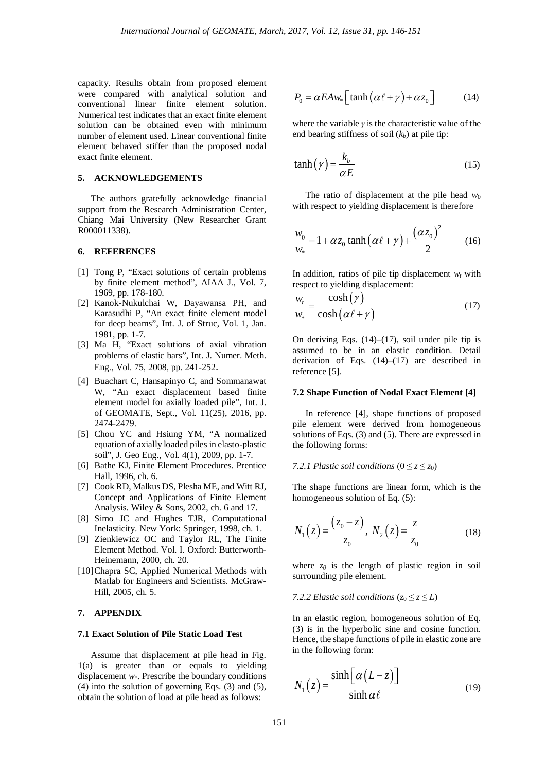capacity. Results obtain from proposed element were compared with analytical solution and conventional linear finite element solution. Numerical test indicates that an exact finite element solution can be obtained even with minimum number of element used. Linear conventional finite element behaved stiffer than the proposed nodal exact finite element.

# **5. ACKNOWLEDGEMENTS**

The authors gratefully acknowledge financial support from the Research Administration Center, Chiang Mai University (New Researcher Grant R000011338).

### **6. REFERENCES**

- [1] Tong P, "Exact solutions of certain problems by finite element method", AIAA J., Vol. 7, 1969, pp. 178-180.
- [2] Kanok-Nukulchai W, Dayawansa PH, and Karasudhi P, "An exact finite element model for deep beams", Int. J. of Struc, Vol. 1, Jan. 1981, pp. 1-7.
- [3] Ma H, "Exact solutions of axial vibration problems of elastic bars", Int. J. Numer. Meth. Eng., Vol. 75, 2008, pp. 241-252.
- [4] Buachart C, Hansapinyo C, and Sommanawat W, "An exact displacement based finite element model for axially loaded pile", Int. J. of GEOMATE, Sept., Vol. 11(25), 2016, pp. 2474-2479.
- [5] Chou YC and Hsiung YM, "A normalized equation of axially loaded piles in elasto-plastic soil", J. Geo Eng., Vol. 4(1), 2009, pp. 1-7.
- [6] Bathe KJ, Finite Element Procedures. Prentice Hall, 1996, ch. 6.
- [7] Cook RD, Malkus DS, Plesha ME, and Witt RJ, Concept and Applications of Finite Element Analysis. Wiley & Sons, 2002, ch. 6 and 17.
- [8] Simo JC and Hughes TJR, Computational Inelasticity. New York: Springer, 1998, ch. 1.
- [9] Zienkiewicz OC and Taylor RL, The Finite Element Method. Vol. I. Oxford: Butterworth-Heinemann, 2000, ch. 20.
- [10]Chapra SC, Applied Numerical Methods with Matlab for Engineers and Scientists. McGraw-Hill, 2005, ch. 5.

#### **7. APPENDIX**

## **7.1 Exact Solution of Pile Static Load Test**

Assume that displacement at pile head in Fig. 1(a) is greater than or equals to yielding displacement *w*\*. Prescribe the boundary conditions (4) into the solution of governing Eqs. (3) and (5), obtain the solution of load at pile head as follows:

$$
P_0 = \alpha E A w_* \left[ \tanh \left( \alpha \ell + \gamma \right) + \alpha z_0 \right] \tag{14}
$$

where the variable *γ* is the characteristic value of the end bearing stiffness of soil  $(k_b)$  at pile tip:

$$
\tanh\left(\gamma\right) = \frac{k_b}{\alpha E} \tag{15}
$$

The ratio of displacement at the pile head  $w_0$ with respect to yielding displacement is therefore

$$
\frac{w_0}{w_*} = 1 + \alpha z_0 \tanh(\alpha \ell + \gamma) + \frac{(\alpha z_0)^2}{2}
$$
 (16)

In addition, ratios of pile tip displacement  $w_t$  with respect to yielding displacement:

$$
\frac{w_t}{w_*} = \frac{\cosh(\gamma)}{\cosh(\alpha \ell + \gamma)}
$$
(17)

On deriving Eqs.  $(14)$ – $(17)$ , soil under pile tip is assumed to be in an elastic condition. Detail derivation of Eqs. (14)–(17) are described in reference [5].

#### **7.2 Shape Function of Nodal Exact Element [4]**

In reference [4], shape functions of proposed pile element were derived from homogeneous solutions of Eqs. (3) and (5). There are expressed in the following forms:

### *7.2.1 Plastic soil conditions*  $(0 \le z \le z_0)$

The shape functions are linear form, which is the homogeneous solution of Eq. (5):

$$
N_1(z) = \frac{(z_0 - z)}{z_0}, N_2(z) = \frac{z}{z_0}
$$
 (18)

where  $z_0$  is the length of plastic region in soil surrounding pile element.

## *7.2.2 Elastic soil conditions* ( $z_0 \le z \le L$ )

In an elastic region, homogeneous solution of Eq. (3) is in the hyperbolic sine and cosine function. Hence, the shape functions of pile in elastic zone are in the following form:

$$
N_1(z) = \frac{\sinh\big[\alpha\,(L-z)\big]}{\sinh\alpha\,\ell} \tag{19}
$$